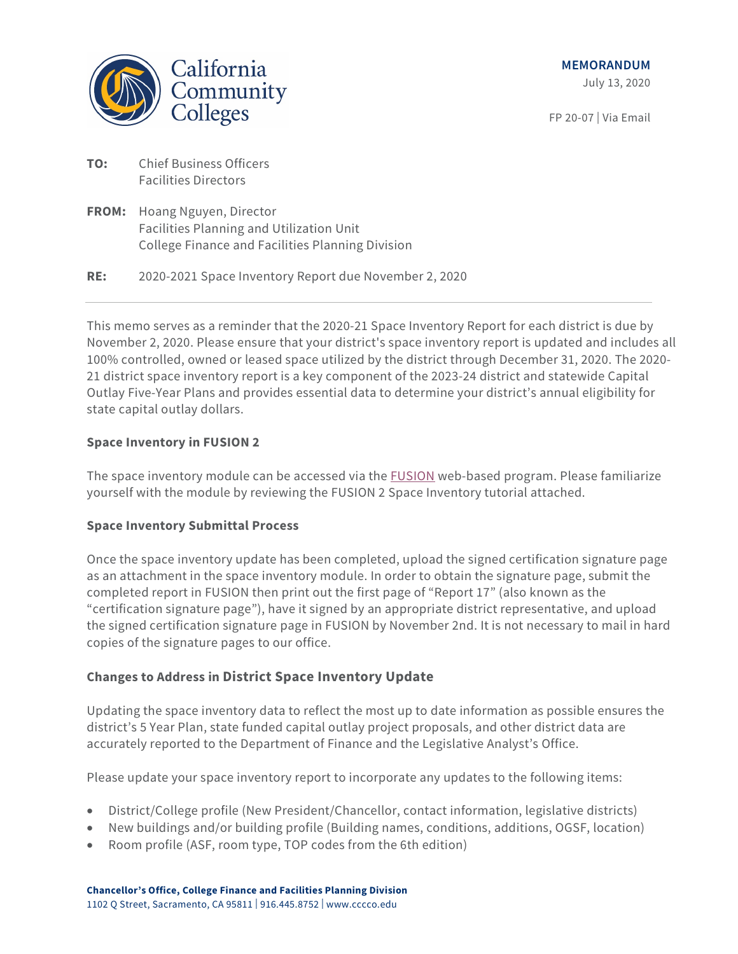

FP 20-07 | Via Email

- **TO:** Chief Business Officers Facilities Directors
- **FROM:** Hoang Nguyen, Director Facilities Planning and Utilization Unit College Finance and Facilities Planning Division

**RE:** 2020-2021 Space Inventory Report due November 2, 2020

This memo serves as a reminder that the 2020-21 Space Inventory Report for each district is due by November 2, 2020. Please ensure that your district's space inventory report is updated and includes all 100% controlled, owned or leased space utilized by the district through December 31, 2020. The 2020- 21 district space inventory report is a key component of the 2023-24 district and statewide Capital Outlay Five-Year Plans and provides essential data to determine your district's annual eligibility for state capital outlay dollars.

## **Space Inventory in FUSION 2**

The space inventory module can be accessed via the [FUSION](http://fusion.deltacollege.edu/default.asp?ReturnUrl=%2f) web-based program. Please familiarize yourself with the module by reviewing the FUSION 2 Space Inventory tutorial attached.

### **Space Inventory Submittal Process**

Once the space inventory update has been completed, upload the signed certification signature page as an attachment in the space inventory module. In order to obtain the signature page, submit the completed report in FUSION then print out the first page of "Report 17" (also known as the "certification signature page"), have it signed by an appropriate district representative, and upload the signed certification signature page in FUSION by November 2nd. It is not necessary to mail in hard copies of the signature pages to our office.

# **Changes to Address in District Space Inventory Update**

Updating the space inventory data to reflect the most up to date information as possible ensures the district's 5 Year Plan, state funded capital outlay project proposals, and other district data are accurately reported to the Department of Finance and the Legislative Analyst's Office.

Please update your space inventory report to incorporate any updates to the following items:

- District/College profile (New President/Chancellor, contact information, legislative districts)
- New buildings and/or building profile (Building names, conditions, additions, OGSF, location)
- Room profile (ASF, room type, TOP codes from the 6th edition)